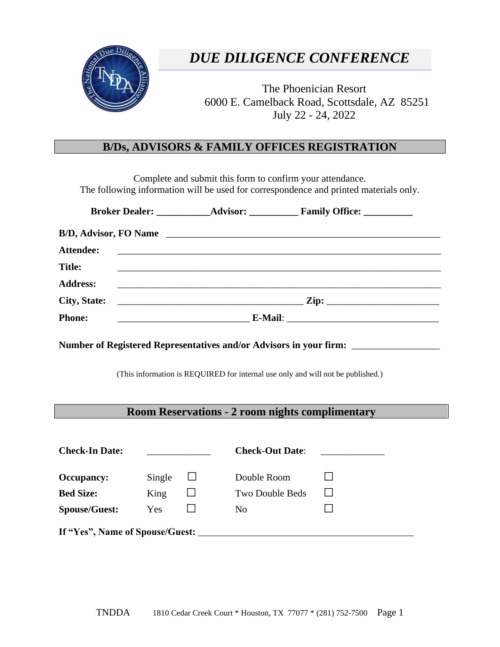

### *DUE DILIGENCE CONFERENCE*

The Phoenician Resort 6000 E. Camelback Road, Scottsdale, AZ 85251 July 22 - 24, 2022

### **B/Ds, ADVISORS & FAMILY OFFICES REGISTRATION**

Complete and submit this form to confirm your attendance. The following information will be used for correspondence and printed materials only.

| Attendee:                                                                         |        |        |                        |                                                                                   |  |  |  |  |
|-----------------------------------------------------------------------------------|--------|--------|------------------------|-----------------------------------------------------------------------------------|--|--|--|--|
| <b>Title:</b>                                                                     |        |        |                        | ,我们也不会有什么。""我们的人,我们也不会有什么?""我们的人,我们也不会有什么?""我们的人,我们也不会有什么?""我们的人,我们也不会有什么?""我们的人  |  |  |  |  |
| <b>Address:</b>                                                                   |        |        |                        | ,我们也不能在这里的时候,我们也不能在这里的时候,我们也不能会在这里的时候,我们也不能会在这里的时候,我们也不能会在这里的时候,我们也不能会在这里的时候,我们也不 |  |  |  |  |
| <b>City, State:</b>                                                               |        |        |                        |                                                                                   |  |  |  |  |
| <b>Phone:</b>                                                                     |        |        |                        |                                                                                   |  |  |  |  |
| Number of Registered Representatives and/or Advisors in your firm: ______________ |        |        |                        |                                                                                   |  |  |  |  |
|                                                                                   |        |        |                        |                                                                                   |  |  |  |  |
| (This information is REQUIRED for internal use only and will not be published.)   |        |        |                        |                                                                                   |  |  |  |  |
|                                                                                   |        |        |                        |                                                                                   |  |  |  |  |
| <b>Room Reservations - 2 room nights complimentary</b>                            |        |        |                        |                                                                                   |  |  |  |  |
|                                                                                   |        |        |                        |                                                                                   |  |  |  |  |
| <b>Check-In Date:</b>                                                             |        |        | <b>Check-Out Date:</b> |                                                                                   |  |  |  |  |
| <b>Occupancy:</b>                                                                 | Single | $\Box$ | Double Room            |                                                                                   |  |  |  |  |
| <b>Bed Size:</b>                                                                  | King   |        | Two Double Beds        |                                                                                   |  |  |  |  |
| <b>Spouse/Guest:</b>                                                              | Yes    |        | N <sub>0</sub>         |                                                                                   |  |  |  |  |
| If "Yes", Name of Spouse/Guest:                                                   |        |        |                        |                                                                                   |  |  |  |  |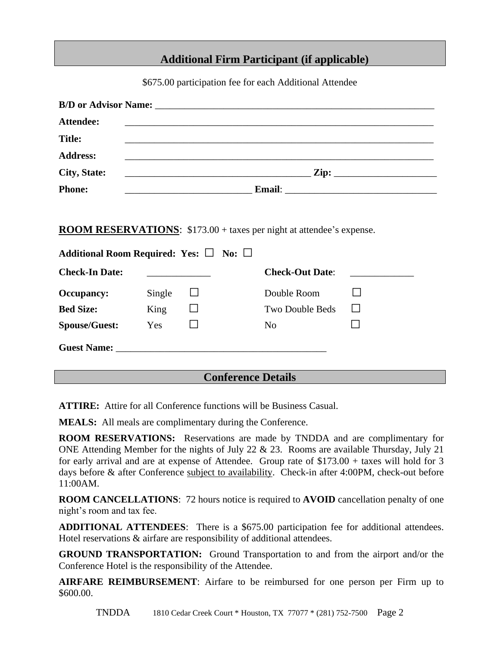#### **Additional Firm Participant (if applicable)**

\$675.00 participation fee for each Additional Attendee

| <b>Attendee:</b>                                                            |        |         |                                                                                  |  |  |  |  |
|-----------------------------------------------------------------------------|--------|---------|----------------------------------------------------------------------------------|--|--|--|--|
| <b>Title:</b>                                                               |        |         |                                                                                  |  |  |  |  |
| <b>Address:</b>                                                             |        |         | ,我们也不能在这里的时候,我们也不能在这里的时候,我们也不能会在这里,我们也不能会在这里的时候,我们也不能会在这里的时候,我们也不能会在这里的时候,我们也不能会 |  |  |  |  |
| City, State:                                                                |        |         |                                                                                  |  |  |  |  |
| <b>Phone:</b>                                                               |        |         |                                                                                  |  |  |  |  |
|                                                                             |        |         |                                                                                  |  |  |  |  |
| <b>ROOM RESERVATIONS:</b> \$173.00 + taxes per night at attendee's expense. |        |         |                                                                                  |  |  |  |  |
| Additional Room Required: Yes: $\Box$ No: $\Box$                            |        |         |                                                                                  |  |  |  |  |
| <b>Check-In Date:</b>                                                       |        |         | <b>Check-Out Date:</b>                                                           |  |  |  |  |
| <b>Occupancy:</b>                                                           | Single | $\perp$ | Double Room                                                                      |  |  |  |  |
| <b>Bed Size:</b>                                                            | King   |         | <b>Two Double Beds</b>                                                           |  |  |  |  |
| <b>Spouse/Guest:</b>                                                        | Yes    |         | N <sub>0</sub>                                                                   |  |  |  |  |
|                                                                             |        |         |                                                                                  |  |  |  |  |
|                                                                             |        |         | $\alpha$ e niu                                                                   |  |  |  |  |

#### **Conference Details**

**ATTIRE:** Attire for all Conference functions will be Business Casual.

**MEALS:** All meals are complimentary during the Conference.

**ROOM RESERVATIONS:** Reservations are made by TNDDA and are complimentary for ONE Attending Member for the nights of July 22 & 23. Rooms are available Thursday, July 21 for early arrival and are at expense of Attendee. Group rate of \$173.00 + taxes will hold for 3 days before & after Conference subject to availability. Check-in after 4:00PM, check-out before 11:00AM.

**ROOM CANCELLATIONS**: 72 hours notice is required to **AVOID** cancellation penalty of one night's room and tax fee.

**ADDITIONAL ATTENDEES**: There is a \$675.00 participation fee for additional attendees. Hotel reservations & airfare are responsibility of additional attendees.

**GROUND TRANSPORTATION:** Ground Transportation to and from the airport and/or the Conference Hotel is the responsibility of the Attendee.

**AIRFARE REIMBURSEMENT**: Airfare to be reimbursed for one person per Firm up to \$600.00.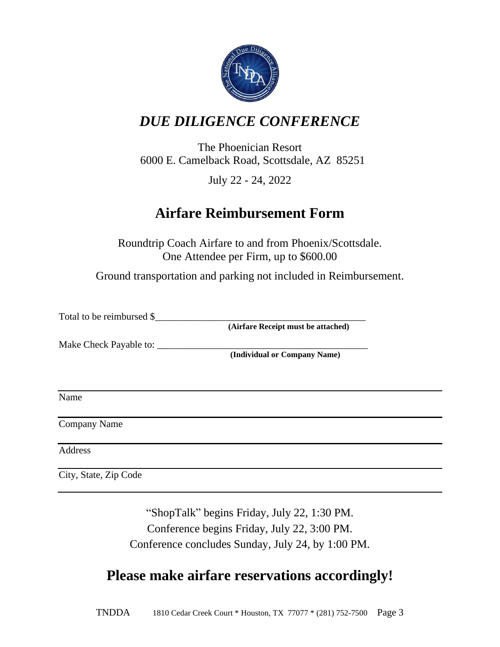

# *DUE DILIGENCE CONFERENCE*

The Phoenician Resort 6000 E. Camelback Road, Scottsdale, AZ 85251

July 22 - 24, 2022

# **Airfare Reimbursement Form**

Roundtrip Coach Airfare to and from Phoenix/Scottsdale. One Attendee per Firm, up to \$600.00

Ground transportation and parking not included in Reimbursement.

Total to be reimbursed \$

**(Airfare Receipt must be attached)**

Make Check Payable to: \_\_\_\_\_\_\_\_\_\_\_\_\_\_\_\_\_\_\_\_\_\_\_\_\_\_\_\_\_\_\_\_\_\_\_\_\_\_\_\_\_\_\_

**(Individual or Company Name)**

Name

Company Name

Address

City, State, Zip Code

"ShopTalk" begins Friday, July 22, 1:30 PM. Conference begins Friday, July 22, 3:00 PM. Conference concludes Sunday, July 24, by 1:00 PM.

### **Please make airfare reservations accordingly!**